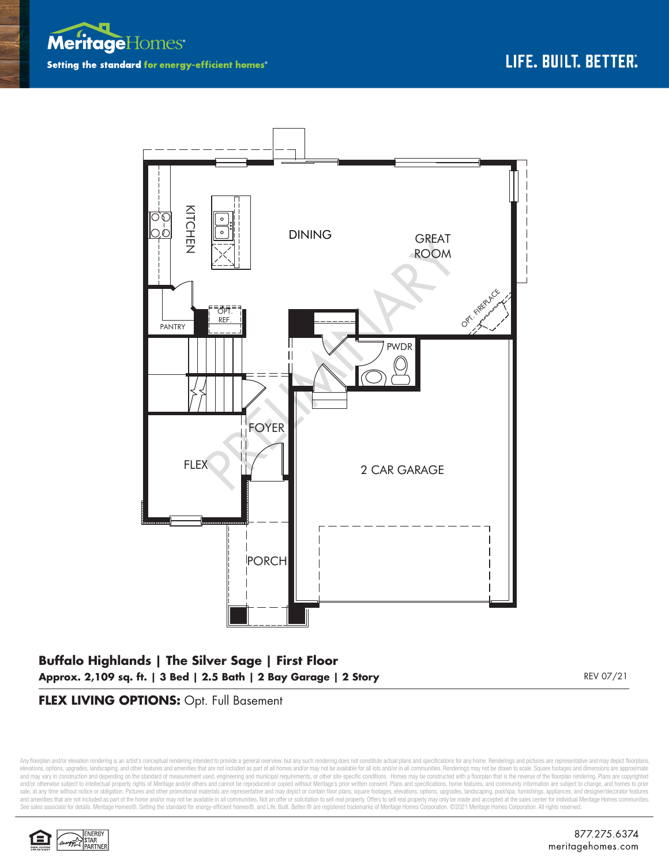



# **Buffalo Highlands | The Silver Sage | First Floor Approx. 2,109 sq. ft. | 3 Bed | 2.5 Bath | 2 Bay Garage | 2 Story** REV 07/21

### **FLEX LIVING OPTIONS:** Opt. Full Basement

Any floorplan and/or elevation rendering is an artist's conceptual rendering intended to provide a general overview, but any such rendering does not constitute actual plans and specifications for any home. Renderings and p elevations, options, upgrades, landscaping, and other features and amenities that are not included as part of all homes and/or may not be available for all lots and/or in all communities. Renderings may not be drawn to sca and may vary in construction and depending on the standard of measurement used, engineering and municipal requirements, or other site-specific conditions. Homes may be constructed with a floorplan that is the reverse of th and/or otherwise subject to intellectual property rights of Meritage and/or others and cannot be reproduced or copied without Meritage's prior written consent. Plans and specifications, home features, and community informa sale, at any time without notice or obligation. Pictures and other promotional materials are representative and may depict or contain floor plans, square footages, elevations, options, upgrades, landscaping, pool/spa, furn See sales associate for details. Meritage Homes®, Setting the standard for energy-efficient homes®, and Life. Built. Better. @ are registered trademarks of Meritage Homes Corporation. ©2021 Meritage Homes Corporation. All

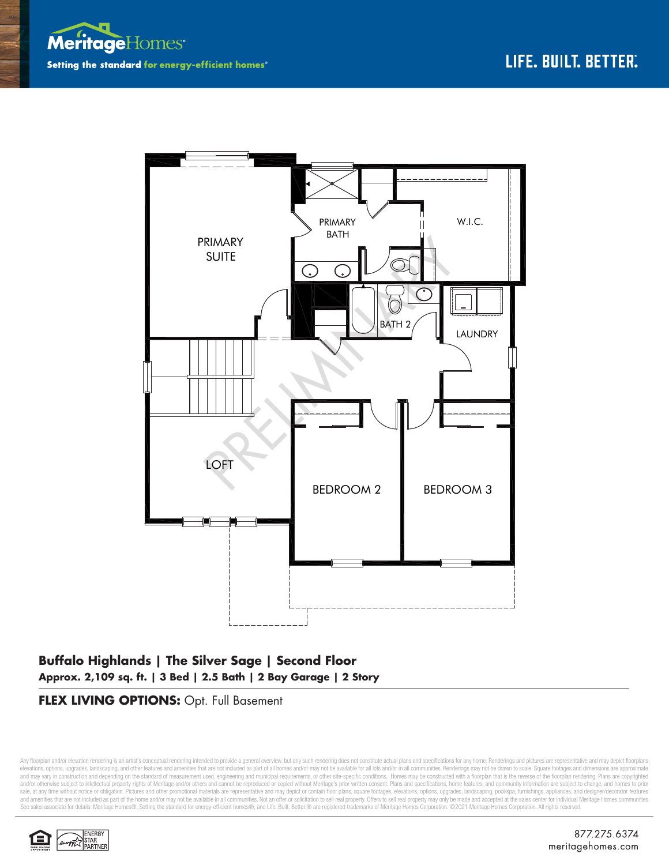



## **Buffalo Highlands | The Silver Sage | Second Floor Approx. 2,109 sq. ft. | 3 Bed | 2.5 Bath | 2 Bay Garage | 2 Story**

### **FLEX LIVING OPTIONS:** Opt. Full Basement

Any floorplan and/or elevation rendering is an artist's conceptual rendering intended to provide a general overview, but any such rendering does not constitute actual plans and specifications for any home. Renderings and p elevations, options, upgrades, landscaping, and other features and amenities that are not included as part of all homes and/or may not be available for all lots and/or in all communities. Renderings may not be drawn to sca and may vary in construction and depending on the standard of measurement used, engineering and municipal requirements, or other site-specific conditions. Homes may be constructed with a floorplan that is the reverse of th and/or otherwise subject to intellectual property rights of Meritage and/or others and cannot be reproduced or copied without Meritage's prior written consent. Plans and specifications, home features, and community informa sale, at any time without notice or obligation. Pictures and other promotional materials are representative and may depict or contain floor plans, square footages, elevations, options, upgrades, landscaping, pool/spa, furn See sales associate for details. Meritage Homes®, Setting the standard for energy-efficient homes®, and Life. Built. Better. @ are registered trademarks of Meritage Homes Corporation. ©2021 Meritage Homes Corporation. All